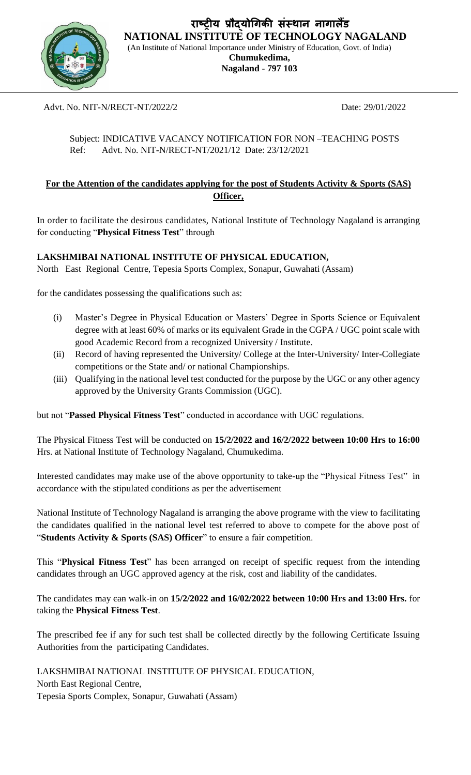

**राष्ट्रीय प्रौद्योगिकी संस्थान नािालैंड NATIONAL INSTITUTE OF TECHNOLOGY NAGALAND**

(An Institute of National Importance under Ministry of Education, Govt. of India) **Chumukedima, Nagaland - 797 103**

## Advt. No. NIT-N/RECT-NT/2022/2 Date: 29/01/2022

## Subject: INDICATIVE VACANCY NOTIFICATION FOR NON –TEACHING POSTS Ref: Advt. No. NIT-N/RECT-NT/2021/12 Date: 23/12/2021

## **For the Attention of the candidates applying for the post of Students Activity & Sports (SAS) Officer,**

In order to facilitate the desirous candidates, National Institute of Technology Nagaland is arranging for conducting "**Physical Fitness Test**" through

## **LAKSHMIBAI NATIONAL INSTITUTE OF PHYSICAL EDUCATION,**

North East Regional Centre, Tepesia Sports Complex, Sonapur, Guwahati (Assam)

for the candidates possessing the qualifications such as:

- (i) Master's Degree in Physical Education or Masters' Degree in Sports Science or Equivalent degree with at least 60% of marks or its equivalent Grade in the CGPA / UGC point scale with good Academic Record from a recognized University / Institute.
- (ii) Record of having represented the University/ College at the Inter-University/ Inter-Collegiate competitions or the State and/ or national Championships.
- (iii) Qualifying in the national level test conducted for the purpose by the UGC or any other agency approved by the University Grants Commission (UGC).

but not "**Passed Physical Fitness Test**" conducted in accordance with UGC regulations.

The Physical Fitness Test will be conducted on **15/2/2022 and 16/2/2022 between 10:00 Hrs to 16:00** Hrs. at National Institute of Technology Nagaland, Chumukedima.

Interested candidates may make use of the above opportunity to take-up the "Physical Fitness Test" in accordance with the stipulated conditions as per the advertisement

National Institute of Technology Nagaland is arranging the above programe with the view to facilitating the candidates qualified in the national level test referred to above to compete for the above post of "**Students Activity & Sports (SAS) Officer**" to ensure a fair competition.

This "**Physical Fitness Test**" has been arranged on receipt of specific request from the intending candidates through an UGC approved agency at the risk, cost and liability of the candidates.

The candidates may can walk-in on **15/2/2022 and 16/02/2022 between 10:00 Hrs and 13:00 Hrs.** for taking the **Physical Fitness Test**.

The prescribed fee if any for such test shall be collected directly by the following Certificate Issuing Authorities from the participating Candidates.

LAKSHMIBAI NATIONAL INSTITUTE OF PHYSICAL EDUCATION, North East Regional Centre, Tepesia Sports Complex, Sonapur, Guwahati (Assam)